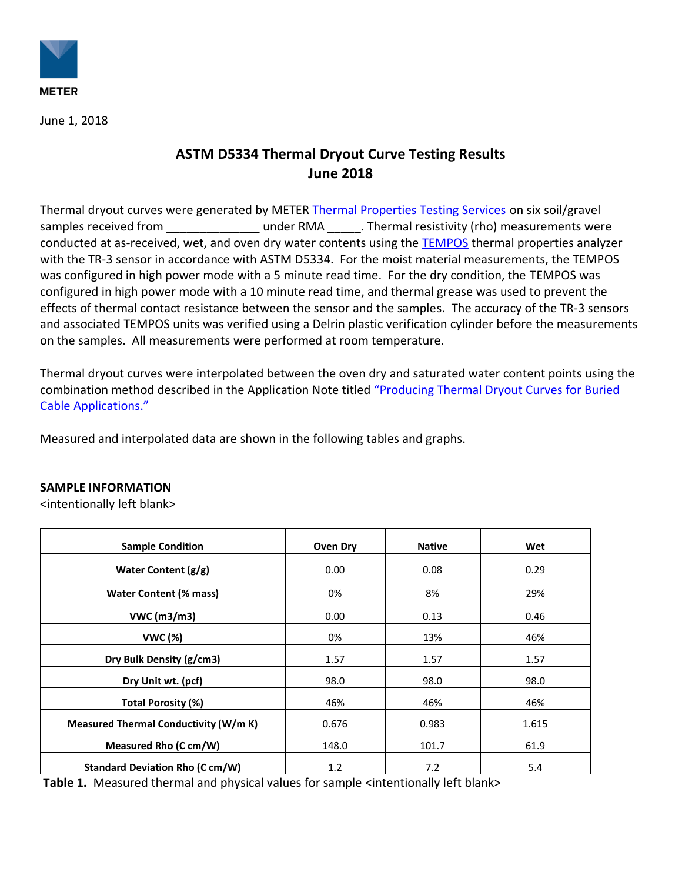

June 1, 2018

## **ASTM D5334 Thermal Dryout Curve Testing Results June 2018**

Thermal dryout curves were generated by METER [Thermal Properties Testing Services](https://www.metergroup.com/meter_services/thermal-properties-testing-services/) on six soil/gravel samples received from **Exercicies 10** under RMA . Thermal resistivity (rho) measurements were conducted at as-received, wet, and oven dry water contents using the [TEMPOS](https://www.metergroup.com/meter_products/tempos/) thermal properties analyzer with the TR-3 sensor in accordance with ASTM D5334. For the moist material measurements, the TEMPOS was configured in high power mode with a 5 minute read time. For the dry condition, the TEMPOS was configured in high power mode with a 10 minute read time, and thermal grease was used to prevent the effects of thermal contact resistance between the sensor and the samples. The accuracy of the TR-3 sensors and associated TEMPOS units was verified using a Delrin plastic verification cylinder before the measurements on the samples. All measurements were performed at room temperature.

Thermal dryout curves were interpolated between the oven dry and saturated water content points using the combination method described in the Application Note titled ["Producing Thermal Dryout Curves for Buried](https://www.metergroup.com/meter_knowledgebase/produce-thermal-dryout-curves-buried-cable-applications/)  [Cable Applications.](https://www.metergroup.com/meter_knowledgebase/produce-thermal-dryout-curves-buried-cable-applications/)"

Measured and interpolated data are shown in the following tables and graphs.

## **SAMPLE INFORMATION**

<intentionally left blank>

| <b>Sample Condition</b>                | <b>Oven Dry</b> | <b>Native</b> | Wet   |
|----------------------------------------|-----------------|---------------|-------|
| Water Content $(g/g)$                  | 0.00            | 0.08          | 0.29  |
| Water Content (% mass)                 | 0%              | 8%            | 29%   |
| VWC (m3/m3)                            | 0.00            | 0.13          | 0.46  |
| <b>VWC (%)</b>                         | 0%              | 13%           | 46%   |
| Dry Bulk Density (g/cm3)               | 1.57            | 1.57          | 1.57  |
| Dry Unit wt. (pcf)                     | 98.0            | 98.0          | 98.0  |
| <b>Total Porosity (%)</b>              | 46%             | 46%           | 46%   |
| Measured Thermal Conductivity (W/m K)  | 0.676           | 0.983         | 1.615 |
| Measured Rho (C cm/W)                  | 148.0           | 101.7         | 61.9  |
| <b>Standard Deviation Rho (C cm/W)</b> | 1.2             | 7.2           | 5.4   |

**Table 1.** Measured thermal and physical values for sample <intentionally left blank>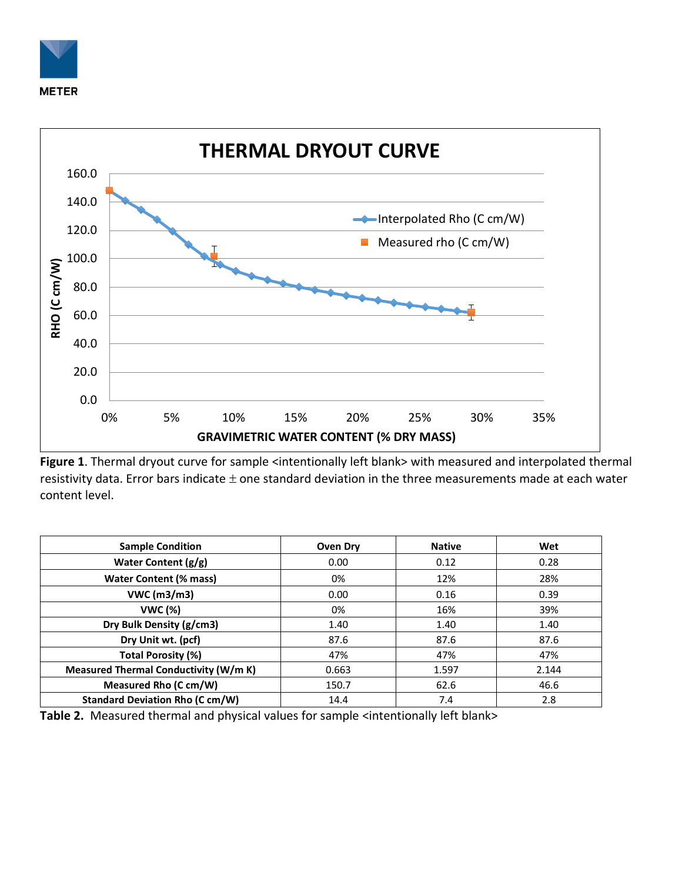



Figure 1. Thermal dryout curve for sample <intentionally left blank> with measured and interpolated thermal resistivity data. Error bars indicate  $\pm$  one standard deviation in the three measurements made at each water content level.

| <b>Sample Condition</b>                | Oven Dry | <b>Native</b> | Wet   |
|----------------------------------------|----------|---------------|-------|
| Water Content (g/g)                    | 0.00     | 0.12          | 0.28  |
| <b>Water Content (% mass)</b>          | 0%       | 12%           | 28%   |
| VWC (m3/m3)                            | 0.00     | 0.16          | 0.39  |
| <b>VWC (%)</b>                         | 0%       | 16%           | 39%   |
| Dry Bulk Density (g/cm3)               | 1.40     | 1.40          | 1.40  |
| Dry Unit wt. (pcf)                     | 87.6     | 87.6          | 87.6  |
| <b>Total Porosity (%)</b>              | 47%      | 47%           | 47%   |
| Measured Thermal Conductivity (W/m K)  | 0.663    | 1.597         | 2.144 |
| Measured Rho (C cm/W)                  | 150.7    | 62.6          | 46.6  |
| <b>Standard Deviation Rho (C cm/W)</b> | 14.4     | 7.4           | 2.8   |

Table 2. Measured thermal and physical values for sample <intentionally left blank>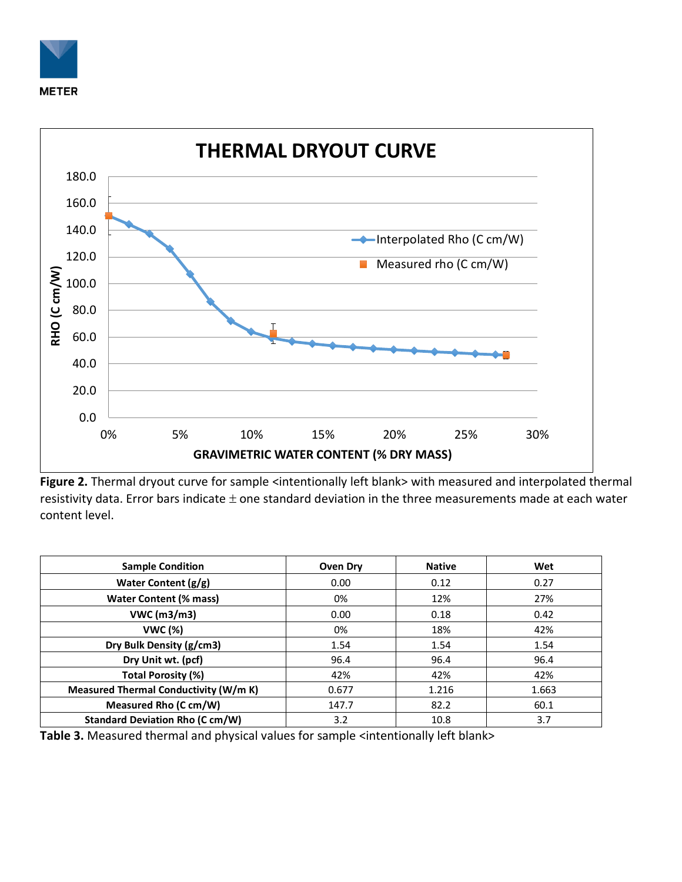



Figure 2. Thermal dryout curve for sample <intentionally left blank> with measured and interpolated thermal resistivity data. Error bars indicate  $\pm$  one standard deviation in the three measurements made at each water content level.

| <b>Sample Condition</b>                | <b>Oven Dry</b> | <b>Native</b> | Wet   |
|----------------------------------------|-----------------|---------------|-------|
| Water Content (g/g)                    | 0.00            | 0.12          | 0.27  |
| <b>Water Content (% mass)</b>          | 0%              | 12%           | 27%   |
| VWC (m3/m3)                            | 0.00            | 0.18          | 0.42  |
| <b>VWC (%)</b>                         | 0%              | 18%           | 42%   |
| Dry Bulk Density (g/cm3)               | 1.54            | 1.54          | 1.54  |
| Dry Unit wt. (pcf)                     | 96.4            | 96.4          | 96.4  |
| Total Porosity (%)                     | 42%             | 42%           | 42%   |
| Measured Thermal Conductivity (W/m K)  | 0.677           | 1.216         | 1.663 |
| Measured Rho (C cm/W)                  | 147.7           | 82.2          | 60.1  |
| <b>Standard Deviation Rho (C cm/W)</b> | 3.2             | 10.8          | 3.7   |

Table 3. Measured thermal and physical values for sample <intentionally left blank>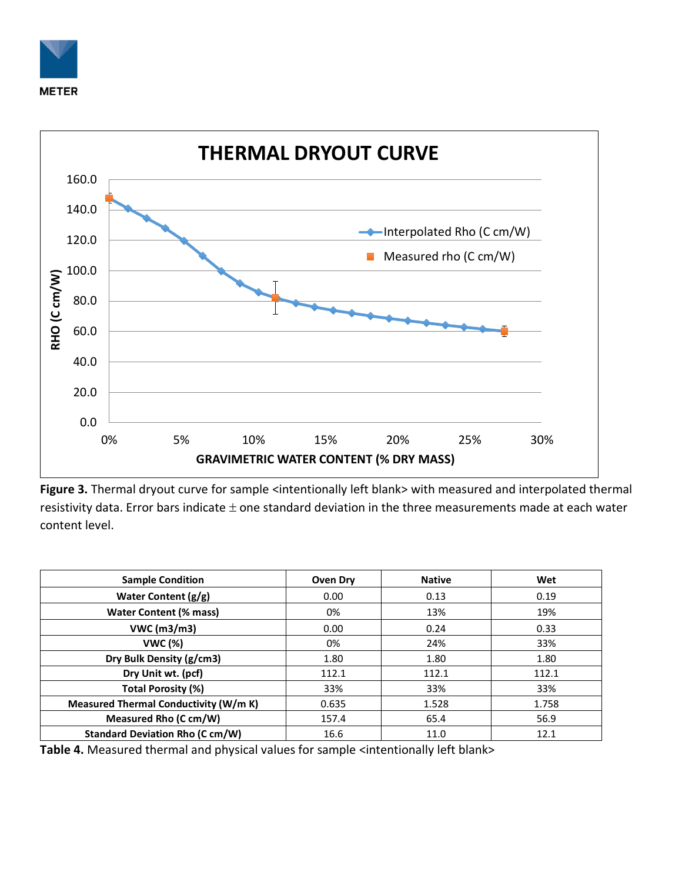



Figure 3. Thermal dryout curve for sample <intentionally left blank> with measured and interpolated thermal resistivity data. Error bars indicate  $\pm$  one standard deviation in the three measurements made at each water content level.

| <b>Sample Condition</b>                | Oven Dry | <b>Native</b> | Wet   |
|----------------------------------------|----------|---------------|-------|
| Water Content (g/g)                    | 0.00     | 0.13          | 0.19  |
| <b>Water Content (% mass)</b>          | 0%       | 13%           | 19%   |
| VWC (m3/m3)                            | 0.00     | 0.24          | 0.33  |
| <b>VWC (%)</b>                         | 0%       | 24%           | 33%   |
| Dry Bulk Density (g/cm3)               | 1.80     | 1.80          | 1.80  |
| Dry Unit wt. (pcf)                     | 112.1    | 112.1         | 112.1 |
| <b>Total Porosity (%)</b>              | 33%      | 33%           | 33%   |
| Measured Thermal Conductivity (W/m K)  | 0.635    | 1.528         | 1.758 |
| Measured Rho (C cm/W)                  | 157.4    | 65.4          | 56.9  |
| <b>Standard Deviation Rho (C cm/W)</b> | 16.6     | 11.0          | 12.1  |

Table 4. Measured thermal and physical values for sample <intentionally left blank>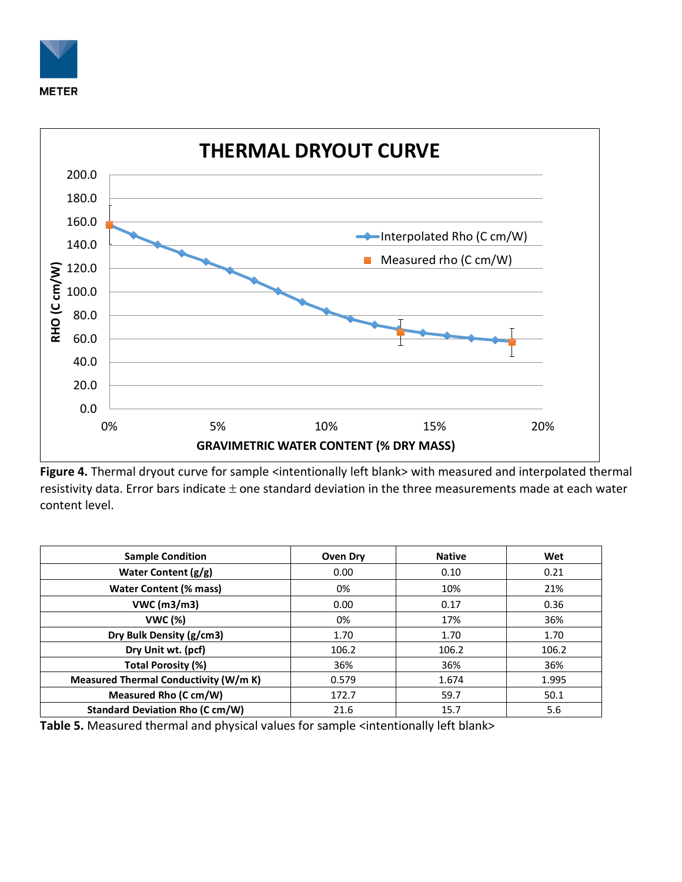



Figure 4. Thermal dryout curve for sample <intentionally left blank> with measured and interpolated thermal resistivity data. Error bars indicate  $\pm$  one standard deviation in the three measurements made at each water content level.

| <b>Sample Condition</b>                | Oven Dry | <b>Native</b> | Wet   |
|----------------------------------------|----------|---------------|-------|
| Water Content (g/g)                    | 0.00     | 0.10          | 0.21  |
| <b>Water Content (% mass)</b>          | 0%       | 10%           | 21%   |
| VWC (m3/m3)                            | 0.00     | 0.17          | 0.36  |
| <b>VWC (%)</b>                         | 0%       | 17%           | 36%   |
| Dry Bulk Density (g/cm3)               | 1.70     | 1.70          | 1.70  |
| Dry Unit wt. (pcf)                     | 106.2    | 106.2         | 106.2 |
| Total Porosity (%)                     | 36%      | 36%           | 36%   |
| Measured Thermal Conductivity (W/m K)  | 0.579    | 1.674         | 1.995 |
| Measured Rho (C cm/W)                  | 172.7    | 59.7          | 50.1  |
| <b>Standard Deviation Rho (C cm/W)</b> | 21.6     | 15.7          | 5.6   |

Table 5. Measured thermal and physical values for sample <intentionally left blank>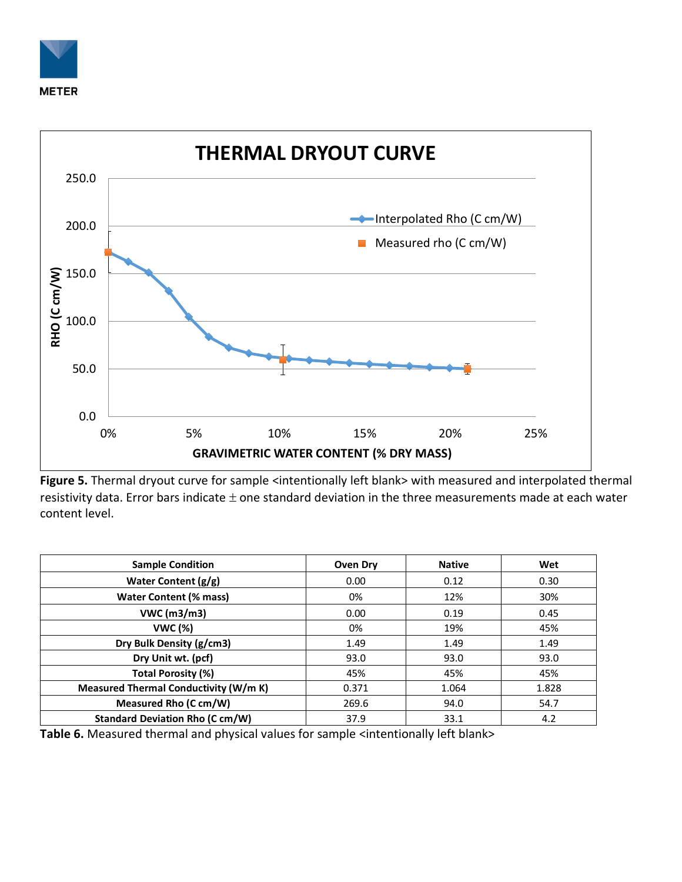



Figure 5. Thermal dryout curve for sample <intentionally left blank> with measured and interpolated thermal resistivity data. Error bars indicate  $\pm$  one standard deviation in the three measurements made at each water content level.

| <b>Sample Condition</b>                | <b>Oven Dry</b> | <b>Native</b> | Wet   |
|----------------------------------------|-----------------|---------------|-------|
| Water Content $(g/g)$                  | 0.00            | 0.12          | 0.30  |
| <b>Water Content (% mass)</b>          | 0%              | 12%           | 30%   |
| VWC (m3/m3)                            | 0.00            | 0.19          | 0.45  |
| <b>VWC (%)</b>                         | 0%              | 19%           | 45%   |
| Dry Bulk Density (g/cm3)               | 1.49            | 1.49          | 1.49  |
| Dry Unit wt. (pcf)                     | 93.0            | 93.0          | 93.0  |
| Total Porosity (%)                     | 45%             | 45%           | 45%   |
| Measured Thermal Conductivity (W/m K)  | 0.371           | 1.064         | 1.828 |
| Measured Rho (C cm/W)                  | 269.6           | 94.0          | 54.7  |
| <b>Standard Deviation Rho (C cm/W)</b> | 37.9            | 33.1          | 4.2   |

Table 6. Measured thermal and physical values for sample <intentionally left blank>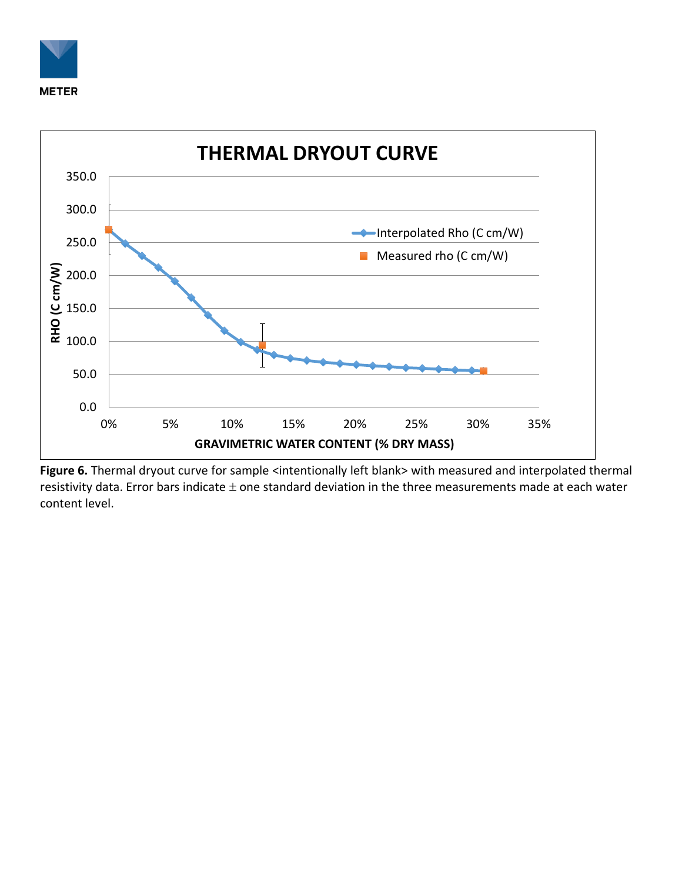



Figure 6. Thermal dryout curve for sample <intentionally left blank> with measured and interpolated thermal resistivity data. Error bars indicate  $\pm$  one standard deviation in the three measurements made at each water content level.